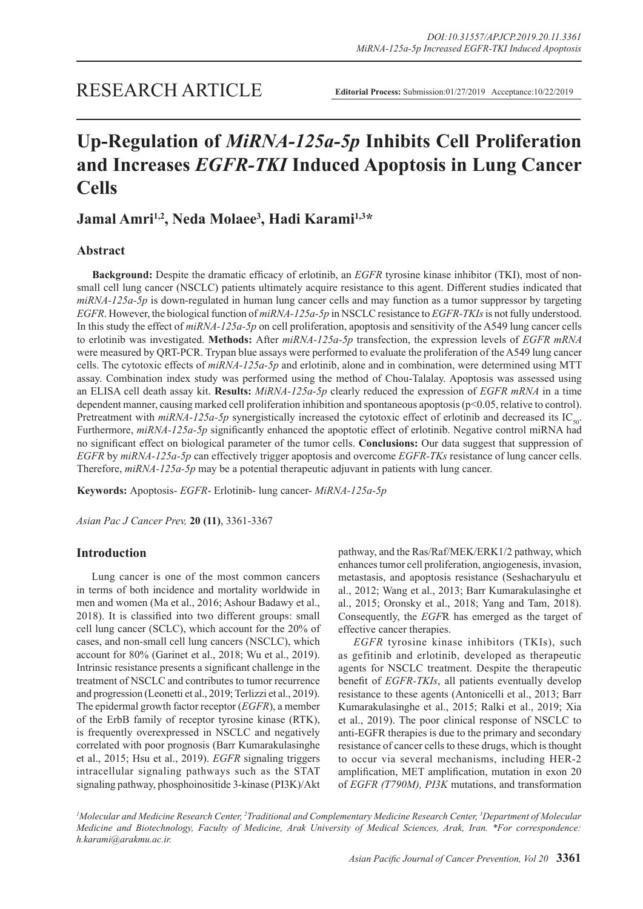# **Up-Regulation of** *MiRNA-125a-5p* **Inhibits Cell Proliferation and Increases** *EGFR-TKI* **Induced Apoptosis in Lung Cancer Cells**

# **Jamal Amri1,2, Neda Molaee3 , Hadi Karami1,3\***

# **Abstract**

**Background:** Despite the dramatic efficacy of erlotinib, an *EGFR* tyrosine kinase inhibitor (TKI), most of nonsmall cell lung cancer (NSCLC) patients ultimately acquire resistance to this agent. Different studies indicated that *miRNA-125a-5p* is down-regulated in human lung cancer cells and may function as a tumor suppressor by targeting *EGFR*. However, the biological function of *miRNA-125a-5p* in NSCLC resistance to *EGFR-TKIs* is not fully understood. In this study the effect of *miRNA-125a-5p* on cell proliferation, apoptosis and sensitivity of the A549 lung cancer cells to erlotinib was investigated. **Methods:** After *miRNA-125a-5p* transfection, the expression levels of *EGFR mRNA*  were measured by QRT-PCR. Trypan blue assays were performed to evaluate the proliferation of the A549 lung cancer cells. The cytotoxic effects of *miRNA-125a-5p* and erlotinib, alone and in combination, were determined using MTT assay. Combination index study was performed using the method of Chou-Talalay. Apoptosis was assessed using an ELISA cell death assay kit. **Results:** *MiRNA-125a-5p* clearly reduced the expression of *EGFR mRNA* in a time dependent manner, causing marked cell proliferation inhibition and spontaneous apoptosis (p<0.05, relative to control). Pretreatment with *miRNA-125a-5p* synergistically increased the cytotoxic effect of erlotinib and decreased its IC<sub>50</sub>. Furthermore, *miRNA-125a-5p* significantly enhanced the apoptotic effect of erlotinib. Negative control miRNA had no significant effect on biological parameter of the tumor cells. **Conclusions:** Our data suggest that suppression of *EGFR* by *miRNA-125a-5p* can effectively trigger apoptosis and overcome *EGFR-TKs* resistance of lung cancer cells. Therefore, *miRNA-125a-5p* may be a potential therapeutic adjuvant in patients with lung cancer.

**Keywords:** Apoptosis- *EGFR*- Erlotinib- lung cancer- *MiRNA-125a-5p*

*Asian Pac J Cancer Prev,* **20 (11)**, 3361-3367

# **Introduction**

Lung cancer is one of the most common cancers in terms of both incidence and mortality worldwide in men and women (Ma et al., 2016; Ashour Badawy et al., 2018). It is classified into two different groups: small cell lung cancer (SCLC), which account for the 20% of cases, and non-small cell lung cancers (NSCLC), which account for 80% (Garinet et al., 2018; Wu et al., 2019). Intrinsic resistance presents a significant challenge in the treatment of NSCLC and contributes to tumor recurrence and progression (Leonetti et al., 2019; Terlizzi et al., 2019). The epidermal growth factor receptor (*EGFR*), a member of the ErbB family of receptor tyrosine kinase (RTK), is frequently overexpressed in NSCLC and negatively correlated with poor prognosis (Barr Kumarakulasinghe et al., 2015; Hsu et al., 2019). *EGFR* signaling triggers intracellular signaling pathways such as the STAT signaling pathway, phosphoinositide 3-kinase (PI3K)/Akt pathway, and the Ras/Raf/MEK/ERK1/2 pathway, which enhances tumor cell proliferation, angiogenesis, invasion, metastasis, and apoptosis resistance (Seshacharyulu et al., 2012; Wang et al., 2013; Barr Kumarakulasinghe et al., 2015; Oronsky et al., 2018; Yang and Tam, 2018). Consequently, the *EGF*R has emerged as the target of effective cancer therapies.

*EGFR* tyrosine kinase inhibitors (TKIs), such as gefitinib and erlotinib, developed as therapeutic agents for NSCLC treatment. Despite the therapeutic benefit of *EGFR-TKIs*, all patients eventually develop resistance to these agents (Antonicelli et al., 2013; Barr Kumarakulasinghe et al., 2015; Ralki et al., 2019; Xia et al., 2019). The poor clinical response of NSCLC to anti-EGFR therapies is due to the primary and secondary resistance of cancer cells to these drugs, which is thought to occur via several mechanisms, including HER-2 amplification, MET amplification, mutation in exon 20 of *EGFR (T790M), PI3K* mutations, and transformation

*1 Molecular and Medicine Research Center, 2 Traditional and Complementary Medicine Research Center, 3 Department of Molecular Medicine and Biotechnology, Faculty of Medicine, Arak University of Medical Sciences, Arak, Iran. \*For correspondence: h.karami@arakmu.ac.ir.*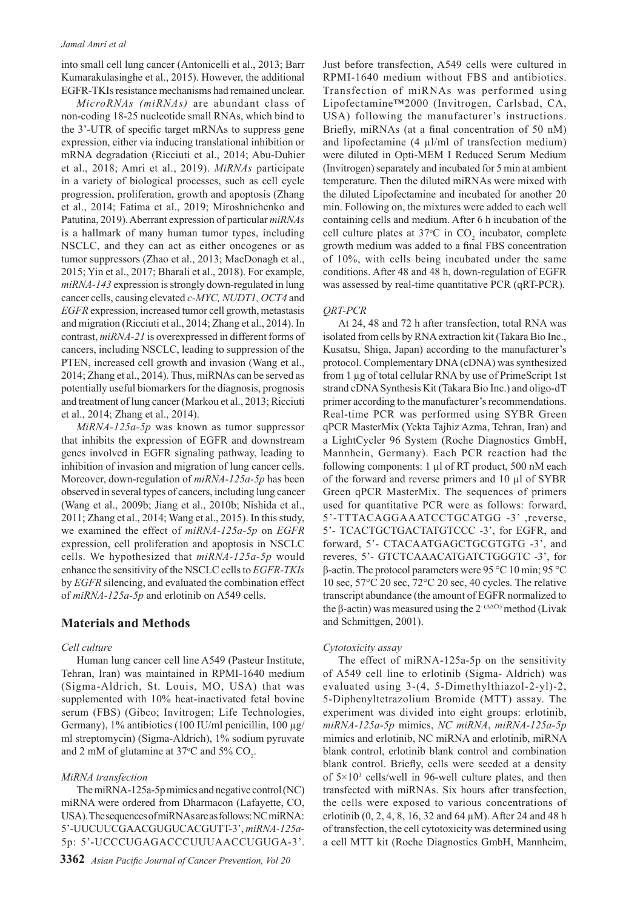into small cell lung cancer (Antonicelli et al., 2013; Barr Kumarakulasinghe et al., 2015). However, the additional EGFR-TKIs resistance mechanisms had remained unclear.

*MicroRNAs (miRNAs)* are abundant class of non-coding 18-25 nucleotide small RNAs, which bind to the 3'-UTR of specific target mRNAs to suppress gene expression, either via inducing translational inhibition or mRNA degradation (Ricciuti et al., 2014; Abu-Duhier et al., 2018; Amri et al., 2019). *MiRNAs* participate in a variety of biological processes, such as cell cycle progression, proliferation, growth and apoptosis (Zhang et al., 2014; Fatima et al., 2019; Miroshnichenko and Patutina, 2019). Aberrant expression of particular *miRNAs* is a hallmark of many human tumor types, including NSCLC, and they can act as either oncogenes or as tumor suppressors (Zhao et al., 2013; MacDonagh et al., 2015; Yin et al., 2017; Bharali et al., 2018). For example, *miRNA-143* expression is strongly down-regulated in lung cancer cells, causing elevated *c-MYC, NUDT1, OCT4* and *EGFR* expression, increased tumor cell growth, metastasis and migration (Ricciuti et al., 2014; Zhang et al., 2014). In contrast, *miRNA-21* is overexpressed in different forms of cancers, including NSCLC, leading to suppression of the PTEN, increased cell growth and invasion (Wang et al., 2014; Zhang et al., 2014). Thus, miRNAs can be served as potentially useful biomarkers for the diagnosis, prognosis and treatment of lung cancer (Markou et al., 2013; Ricciuti et al., 2014; Zhang et al., 2014).

*MiRNA-125a-5p* was known as tumor suppressor that inhibits the expression of EGFR and downstream genes involved in EGFR signaling pathway, leading to inhibition of invasion and migration of lung cancer cells. Moreover, down-regulation of *miRNA-125a-5p* has been observed in several types of cancers, including lung cancer (Wang et al., 2009b; Jiang et al., 2010b; Nishida et al., 2011; Zhang et al., 2014; Wang et al., 2015). In this study, we examined the effect of *miRNA-125a-5p* on *EGFR* expression, cell proliferation and apoptosis in NSCLC cells. We hypothesized that *miRNA-125a-5p* would enhance the sensitivity of the NSCLC cells to *EGFR-TKIs*  by *EGFR* silencing, and evaluated the combination effect of *miRNA-125a-5p* and erlotinib on A549 cells.

# **Materials and Methods**

#### *Cell culture*

Human lung cancer cell line A549 (Pasteur Institute, Tehran, Iran) was maintained in RPMI-1640 medium (Sigma-Aldrich, St. Louis, MO, USA) that was supplemented with 10% heat-inactivated fetal bovine serum (FBS) (Gibco; Invitrogen; Life Technologies, Germany), 1% antibiotics (100 IU/ml penicillin, 100 µg/ ml streptomycin) (Sigma-Aldrich), 1% sodium pyruvate and 2 mM of glutamine at 37 $\degree$ C and 5% CO<sub>2</sub>.

### *MiRNA transfection*

The miRNA-125a-5p mimics and negative control (NC) miRNA were ordered from Dharmacon (Lafayette, CO, USA). The sequences of miRNAs are as follows: NC miRNA: 5'-UUCUUCGAACGUGUCACGUTT-3', *miRNA-125a*-5p: 5'-UCCCUGAGACCCUUUAACCUGUGA-3'. Just before transfection, A549 cells were cultured in RPMI-1640 medium without FBS and antibiotics. Transfection of miRNAs was performed using Lipofectamine™2000 (Invitrogen, Carlsbad, CA, USA) following the manufacturer's instructions. Briefly, miRNAs (at a final concentration of 50 nM) and lipofectamine (4 µl/ml of transfection medium) were diluted in Opti-MEM I Reduced Serum Medium (Invitrogen) separately and incubated for 5 min at ambient temperature. Then the diluted miRNAs were mixed with the diluted Lipofectamine and incubated for another 20 min. Following on, the mixtures were added to each well containing cells and medium. After 6 h incubation of the cell culture plates at  $37^{\circ}$ C in CO<sub>2</sub> incubator, complete growth medium was added to a final FBS concentration of 10%, with cells being incubated under the same conditions. After 48 and 48 h, down-regulation of EGFR was assessed by real-time quantitative PCR (qRT-PCR).

#### *QRT-PCR*

At 24, 48 and 72 h after transfection, total RNA was isolated from cells by RNA extraction kit (Takara Bio Inc., Kusatsu, Shiga, Japan) according to the manufacturer's protocol. Complementary DNA (cDNA) was synthesized from 1 µg of total cellular RNA by use of PrimeScript 1st strand cDNA Synthesis Kit (Takara Bio Inc.) and oligo-dT primer according to the manufacturer's recommendations. Real-time PCR was performed using SYBR Green qPCR MasterMix (Yekta Tajhiz Azma, Tehran, Iran) and a LightCycler 96 System (Roche Diagnostics GmbH, Mannhein, Germany). Each PCR reaction had the following components: 1 µl of RT product, 500 nM each of the forward and reverse primers and 10 µl of SYBR Green qPCR MasterMix. The sequences of primers used for quantitative PCR were as follows: forward, 5'-TTTACAGGAAATCCTGCATGG -3' ,reverse, 5'- TCACTGCTGACTATGTCCC -3', for EGFR, and forward, 5'- CTACAATGAGCTGCGTGTG -3', and reveres, 5'- GTCTCAAACATGATCTGGGTC -3', for β-actin. The protocol parameters were 95 °C 10 min; 95 °C 10 sec, 57°C 20 sec, 72°C 20 sec, 40 cycles. The relative transcript abundance (the amount of EGFR normalized to the β-actin) was measured using the  $2^{-(\Delta\Delta Ct)}$  method (Livak and Schmittgen, 2001).

#### *Cytotoxicity assay*

The effect of miRNA-125a-5p on the sensitivity of A549 cell line to erlotinib (Sigma- Aldrich) was evaluated using 3-(4, 5-Dimethylthiazol-2-yl)-2, 5-Diphenyltetrazolium Bromide (MTT) assay. The experiment was divided into eight groups: erlotinib, *miRNA-125a-5p* mimics, *NC miRNA*, *miRNA-125a-5p*  mimics and erlotinib, NC miRNA and erlotinib, miRNA blank control, erlotinib blank control and combination blank control. Briefly, cells were seeded at a density of  $5 \times 10^3$  cells/well in 96-well culture plates, and then transfected with miRNAs. Six hours after transfection, the cells were exposed to various concentrations of erlotinib (0, 2, 4, 8, 16, 32 and 64 µM). After 24 and 48 h of transfection, the cell cytotoxicity was determined using a cell MTT kit (Roche Diagnostics GmbH, Mannheim,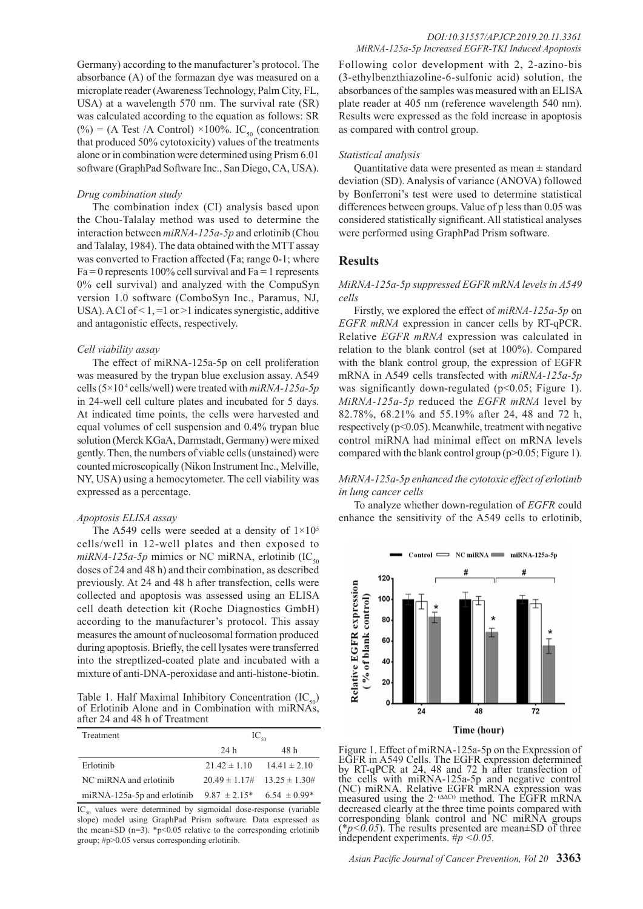Germany) according to the manufacturer's protocol. The absorbance (A) of the formazan dye was measured on a microplate reader (Awareness Technology, Palm City, FL, USA) at a wavelength 570 nm. The survival rate (SR) was calculated according to the equation as follows: SR (%) = (A Test /A Control) ×100%. IC<sub>50</sub> (concentration that produced 50% cytotoxicity) values of the treatments alone or in combination were determined using Prism 6.01 software (GraphPad Software Inc., San Diego, CA, USA).

#### *Drug combination study*

The combination index (CI) analysis based upon the Chou-Talalay method was used to determine the interaction between *miRNA-125a-5p* and erlotinib (Chou and Talalay, 1984). The data obtained with the MTT assay was converted to Fraction affected (Fa; range 0-1; where  $Fa = 0$  represents 100% cell survival and  $Fa = 1$  represents 0% cell survival) and analyzed with the CompuSyn version 1.0 software (ComboSyn Inc., Paramus, NJ, USA). A CI of  $\leq 1$ ,  $=1$  or  $\geq 1$  indicates synergistic, additive and antagonistic effects, respectively.

#### *Cell viability assay*

The effect of miRNA-125a-5p on cell proliferation was measured by the trypan blue exclusion assay. A549 cells (5×10 4 cells/well) were treated with *miRNA-125a-5p* in 24-well cell culture plates and incubated for 5 days. At indicated time points, the cells were harvested and equal volumes of cell suspension and 0.4% trypan blue solution (Merck KGaA, Darmstadt, Germany) were mixed gently. Then, the numbers of viable cells (unstained) were counted microscopically (Nikon Instrument Inc., Melville, NY, USA) using a hemocytometer. The cell viability was expressed as a percentage.

#### *Apoptosis ELISA assay*

The A549 cells were seeded at a density of  $1\times10^{5}$ cells/well in 12-well plates and then exposed to  $miRNA-125a-5p$  mimics or NC miRNA, erlotinib (IC<sub>50</sub>) doses of 24 and 48 h) and their combination, as described previously. At 24 and 48 h after transfection, cells were collected and apoptosis was assessed using an ELISA cell death detection kit (Roche Diagnostics GmbH) according to the manufacturer's protocol. This assay measures the amount of nucleosomal formation produced during apoptosis. Briefly, the cell lysates were transferred into the streptlized-coated plate and incubated with a mixture of anti-DNA-peroxidase and anti-histone-biotin.

Table 1. Half Maximal Inhibitory Concentration  $(IC_{50})$ of Erlotinib Alone and in Combination with miRNAs, after 24 and 48 h of Treatment

| Treatment                     | $IC_{\epsilon_0}$                    |      |
|-------------------------------|--------------------------------------|------|
|                               | 24 h                                 | 48 h |
| Erlotinib                     | $21.42 \pm 1.10$ $14.41 \pm 2.10$    |      |
| NC miRNA and erlotinib        | $20.49 \pm 1.17\#$ 13.25 $\pm$ 1.30# |      |
| $miRNA-125a-5p$ and erlotinib | $9.87 \pm 2.15^*$ 6.54 $\pm 0.99^*$  |      |

 $IC_{50}$  values were determined by sigmoidal dose-response (variable slope) model using GraphPad Prism software. Data expressed as the mean $\pm$ SD (n=3). \*p<0.05 relative to the corresponding erlotinib group; #p>0.05 versus corresponding erlotinib.

Following color development with 2, 2-azino-bis (3-ethylbenzthiazoline-6-sulfonic acid) solution, the absorbances of the samples was measured with an ELISA plate reader at 405 nm (reference wavelength 540 nm). Results were expressed as the fold increase in apoptosis as compared with control group.

### *Statistical analysis*

Quantitative data were presented as mean  $\pm$  standard deviation (SD). Analysis of variance (ANOVA) followed by Bonferroni's test were used to determine statistical differences between groups. Value of p less than 0.05 was considered statistically significant. All statistical analyses were performed using GraphPad Prism software.

# **Results**

## *MiRNA-125a-5p suppressed EGFR mRNA levels in A549 cells*

Firstly, we explored the effect of *miRNA-125a-5p* on *EGFR mRNA* expression in cancer cells by RT-qPCR. Relative *EGFR mRNA* expression was calculated in relation to the blank control (set at 100%). Compared with the blank control group, the expression of EGFR mRNA in A549 cells transfected with *miRNA-125a-5p*  was significantly down-regulated (p<0.05; Figure 1). *MiRNA-125a-5p* reduced the *EGFR mRNA* level by 82.78%, 68.21% and 55.19% after 24, 48 and 72 h, respectively (p<0.05). Meanwhile, treatment with negative control miRNA had minimal effect on mRNA levels compared with the blank control group (p>0.05; Figure 1).

# *MiRNA-125a-5p enhanced the cytotoxic effect of erlotinib in lung cancer cells*

To analyze whether down-regulation of *EGFR* could enhance the sensitivity of the A549 cells to erlotinib,



Figure 1. Effect of miRNA-125a-5p on the Expression of EGFR in A549 Cells. The EGFR expression determined by RT-qPCR at 24, 48 and 72 h after transfection of the cells with miRNA-125a-5p and negative control (NC) miRNA. Relative EGFR mRNA expression was measured using the 2<sup>- (∆∆Ct)</sup> method. The EGFR mRNA decreased clearly at the three time points compared with corresponding blank control and NC miRNA groups (\**p<0.05*). The results presented are mean±SD of three independent experiments. #*p <0.05.*

*Asian Pacific Journal of Cancer Prevention, Vol 20* **3363**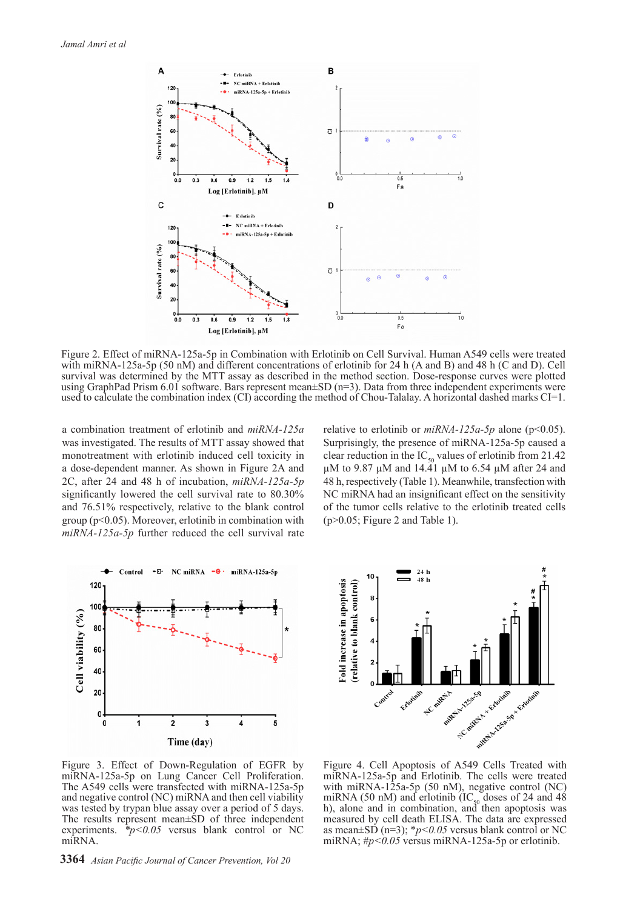

Figure 2. Effect of miRNA-125a-5p in Combination with Erlotinib on Cell Survival. Human A549 cells were treated with miRNA-125a-5p (50 nM) and different concentrations of erlotinib for 24 h (A and B) and 48 h (C and D). Cell survival was determined by the MTT assay as described in the method section. Dose-response curves were plotted using GraphPad Prism 6.01 software. Bars represent mean±SD (n=3). Data from three independent experiments were used to calculate the combination index (CI) according the method of Chou-Talalay. A horizontal dashed marks CI=1.

a combination treatment of erlotinib and *miRNA-125a* was investigated. The results of MTT assay showed that monotreatment with erlotinib induced cell toxicity in a dose-dependent manner. As shown in Figure 2A and 2C, after 24 and 48 h of incubation, *miRNA-125a-5p* significantly lowered the cell survival rate to 80.30% and 76.51% respectively, relative to the blank control group (p<0.05). Moreover, erlotinib in combination with *miRNA-125a-5p* further reduced the cell survival rate relative to erlotinib or *miRNA-125a-5p* alone (p<0.05). Surprisingly, the presence of miRNA-125a-5p caused a clear reduction in the IC<sub>50</sub> values of erlotinib from 21.42  $\mu$ M to 9.87  $\mu$ M and 14.41  $\mu$ M to 6.54  $\mu$ M after 24 and 48 h, respectively (Table 1). Meanwhile, transfection with NC miRNA had an insignificant effect on the sensitivity of the tumor cells relative to the erlotinib treated cells (p>0.05; Figure 2 and Table 1).





Figure 3. Effect of Down-Regulation of EGFR by miRNA-125a-5p on Lung Cancer Cell Proliferation. The A549 cells were transfected with miRNA-125a-5p and negative control (NC) miRNA and then cell viability was tested by trypan blue assay over a period of 5 days. The results represent mean±SD of three independent experiments.  $\dot{\phi}$  *\*p*<0.05 versus blank control or NC miRNA.

**3364** *Asian Pacific Journal of Cancer Prevention, Vol 20*

Figure 4. Cell Apoptosis of A549 Cells Treated with miRNA-125a-5p and Erlotinib. The cells were treated with miRNA-125a-5p (50 nM), negative control (NC) miRNA (50 nM) and erlotinib ( $IC_{50}$  doses of 24 and 48 h), alone and in combination, and then apoptosis was measured by cell death ELISA. The data are expressed as mean $\pm$ SD (n=3); \* $p$ <0.05 versus blank control or NC miRNA; #*p<0.05* versus miRNA-125a-5p or erlotinib.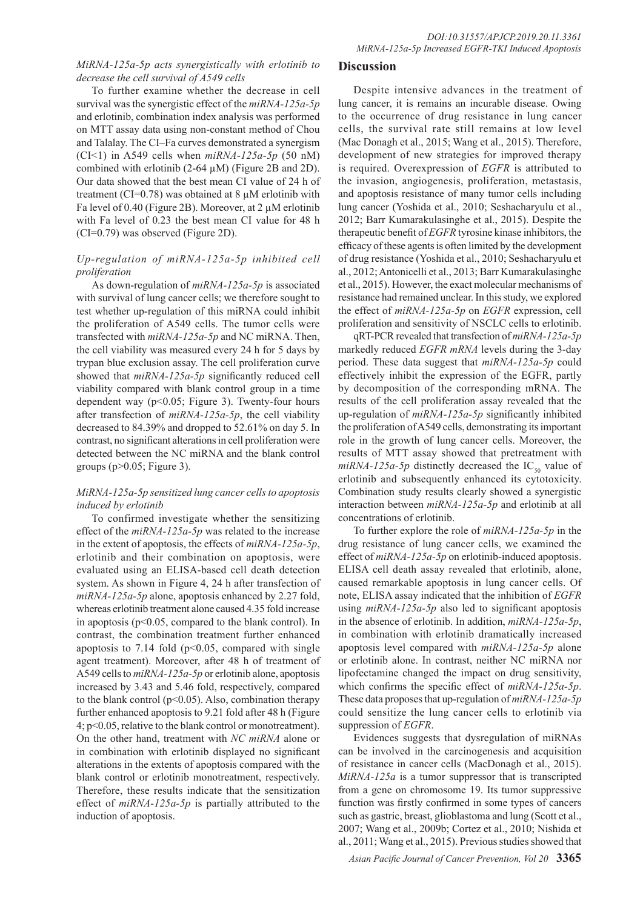# *MiRNA-125a-5p acts synergistically with erlotinib to decrease the cell survival of A549 cells*

To further examine whether the decrease in cell survival was the synergistic effect of the *miRNA-125a-5p*  and erlotinib, combination index analysis was performed on MTT assay data using non-constant method of Chou and Talalay. The CI–Fa curves demonstrated a synergism (CI<1) in A549 cells when *miRNA-125a-5p* (50 nM) combined with erlotinib  $(2-64 \mu M)$  (Figure 2B and 2D). Our data showed that the best mean CI value of 24 h of treatment (CI=0.78) was obtained at  $8 \mu$ M erlotinib with Fa level of 0.40 (Figure 2B). Moreover, at 2  $\mu$ M erlotinib with Fa level of 0.23 the best mean CI value for 48 h (CI=0.79) was observed (Figure 2D).

# *Up-regulation of miRNA-125a-5p inhibited cell proliferation*

As down-regulation of *miRNA-125a-5p* is associated with survival of lung cancer cells; we therefore sought to test whether up-regulation of this miRNA could inhibit the proliferation of A549 cells. The tumor cells were transfected with *miRNA-125a-5p* and NC miRNA. Then, the cell viability was measured every 24 h for 5 days by trypan blue exclusion assay. The cell proliferation curve showed that *miRNA-125a-5p* significantly reduced cell viability compared with blank control group in a time dependent way ( $p<0.05$ ; Figure 3). Twenty-four hours after transfection of *miRNA-125a-5p*, the cell viability decreased to 84.39% and dropped to 52.61% on day 5. In contrast, no significant alterations in cell proliferation were detected between the NC miRNA and the blank control groups ( $p > 0.05$ ; Figure 3).

# *MiRNA-125a-5p sensitized lung cancer cells to apoptosis induced by erlotinib*

To confirmed investigate whether the sensitizing effect of the *miRNA-125a-5p* was related to the increase in the extent of apoptosis, the effects of *miRNA-125a-5p*, erlotinib and their combination on apoptosis, were evaluated using an ELISA-based cell death detection system. As shown in Figure 4, 24 h after transfection of *miRNA-125a-5p* alone, apoptosis enhanced by 2.27 fold, whereas erlotinib treatment alone caused 4.35 fold increase in apoptosis ( $p<0.05$ , compared to the blank control). In contrast, the combination treatment further enhanced apoptosis to 7.14 fold  $(p<0.05$ , compared with single agent treatment). Moreover, after 48 h of treatment of A549 cells to *miRNA-125a-5p* or erlotinib alone, apoptosis increased by 3.43 and 5.46 fold, respectively, compared to the blank control ( $p<0.05$ ). Also, combination therapy further enhanced apoptosis to 9.21 fold after 48 h (Figure 4; p<0.05, relative to the blank control or monotreatment). On the other hand, treatment with *NC miRNA* alone or in combination with erlotinib displayed no significant alterations in the extents of apoptosis compared with the blank control or erlotinib monotreatment, respectively. Therefore, these results indicate that the sensitization effect of *miRNA-125a-5p* is partially attributed to the induction of apoptosis.

# **Discussion**

Despite intensive advances in the treatment of lung cancer, it is remains an incurable disease. Owing to the occurrence of drug resistance in lung cancer cells, the survival rate still remains at low level (Mac Donagh et al., 2015; Wang et al., 2015). Therefore, development of new strategies for improved therapy is required. Overexpression of *EGFR* is attributed to the invasion, angiogenesis, proliferation, metastasis, and apoptosis resistance of many tumor cells including lung cancer (Yoshida et al., 2010; Seshacharyulu et al., 2012; Barr Kumarakulasinghe et al., 2015). Despite the therapeutic benefit of *EGFR* tyrosine kinase inhibitors, the efficacy of these agents is often limited by the development of drug resistance (Yoshida et al., 2010; Seshacharyulu et al., 2012; Antonicelli et al., 2013; Barr Kumarakulasinghe et al., 2015). However, the exact molecular mechanisms of resistance had remained unclear. In this study, we explored the effect of *miRNA-125a-5p* on *EGFR* expression, cell proliferation and sensitivity of NSCLC cells to erlotinib.

qRT-PCR revealed that transfection of *miRNA-125a-5p*  markedly reduced *EGFR mRNA* levels during the 3-day period. These data suggest that *miRNA-125a-5p* could effectively inhibit the expression of the EGFR, partly by decomposition of the corresponding mRNA. The results of the cell proliferation assay revealed that the up-regulation of *miRNA-125a-5p* significantly inhibited the proliferation of A549 cells, demonstrating its important role in the growth of lung cancer cells. Moreover, the results of MTT assay showed that pretreatment with  $miRNA-125a-5p$  distinctly decreased the IC<sub>50</sub> value of erlotinib and subsequently enhanced its cytotoxicity. Combination study results clearly showed a synergistic interaction between *miRNA-125a-5p* and erlotinib at all concentrations of erlotinib.

To further explore the role of *miRNA-125a-5p* in the drug resistance of lung cancer cells, we examined the effect of *miRNA-125a-5p* on erlotinib-induced apoptosis. ELISA cell death assay revealed that erlotinib, alone, caused remarkable apoptosis in lung cancer cells. Of note, ELISA assay indicated that the inhibition of *EGFR*  using *miRNA-125a-5p* also led to significant apoptosis in the absence of erlotinib. In addition, *miRNA-125a-5p*, in combination with erlotinib dramatically increased apoptosis level compared with *miRNA-125a-5p* alone or erlotinib alone. In contrast, neither NC miRNA nor lipofectamine changed the impact on drug sensitivity, which confirms the specific effect of *miRNA-125a-5p*. These data proposes that up-regulation of *miRNA-125a-5p*  could sensitize the lung cancer cells to erlotinib via suppression of *EGFR*.

Evidences suggests that dysregulation of miRNAs can be involved in the carcinogenesis and acquisition of resistance in cancer cells (MacDonagh et al., 2015). *MiRNA-125a* is a tumor suppressor that is transcripted from a gene on chromosome 19. Its tumor suppressive function was firstly confirmed in some types of cancers such as gastric, breast, glioblastoma and lung (Scott et al., 2007; Wang et al., 2009b; Cortez et al., 2010; Nishida et al., 2011; Wang et al., 2015). Previous studies showed that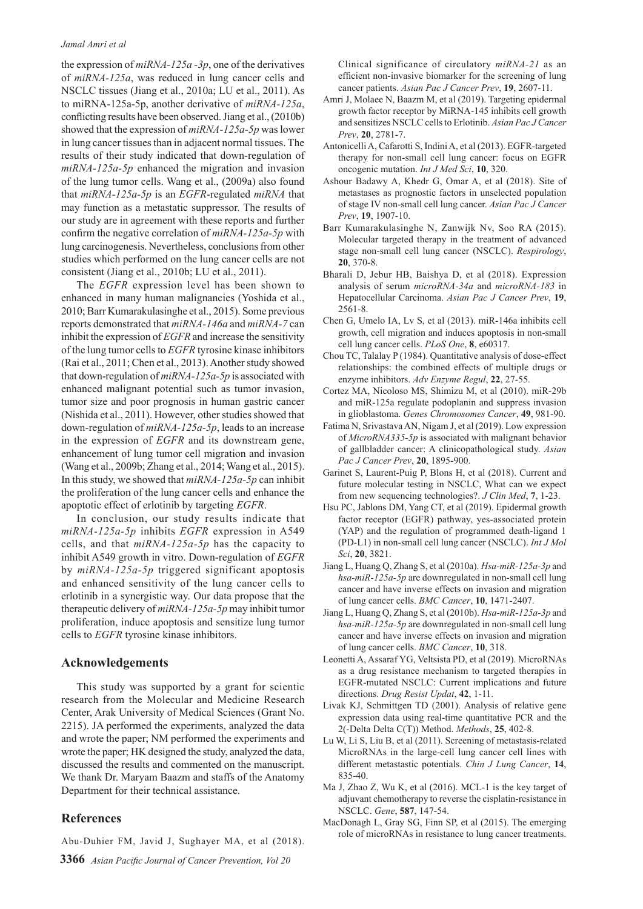#### *Jamal Amri et al*

the expression of *miRNA-125a -3p*, one of the derivatives of *miRNA-125a*, was reduced in lung cancer cells and NSCLC tissues (Jiang et al., 2010a; LU et al., 2011). As to miRNA-125a-5p, another derivative of *miRNA-125a*, conflicting results have been observed. Jiang et al., (2010b) showed that the expression of *miRNA-125a-5p* was lower in lung cancer tissues than in adjacent normal tissues. The results of their study indicated that down-regulation of *miRNA-125a-5p* enhanced the migration and invasion of the lung tumor cells. Wang et al., (2009a) also found that *miRNA-125a-5p* is an *EGFR*-regulated *miRNA* that may function as a metastatic suppressor. The results of our study are in agreement with these reports and further confirm the negative correlation of *miRNA-125a-5p* with lung carcinogenesis. Nevertheless, conclusions from other studies which performed on the lung cancer cells are not consistent (Jiang et al., 2010b; LU et al., 2011).

The *EGFR* expression level has been shown to enhanced in many human malignancies (Yoshida et al., 2010; Barr Kumarakulasinghe et al., 2015). Some previous reports demonstrated that *miRNA-146a* and *miRNA-7* can inhibit the expression of *EGFR* and increase the sensitivity of the lung tumor cells to *EGFR* tyrosine kinase inhibitors (Rai et al., 2011; Chen et al., 2013). Another study showed that down-regulation of *miRNA-125a-5p* is associated with enhanced malignant potential such as tumor invasion, tumor size and poor prognosis in human gastric cancer (Nishida et al., 2011). However, other studies showed that down-regulation of *miRNA-125a-5p*, leads to an increase in the expression of *EGFR* and its downstream gene, enhancement of lung tumor cell migration and invasion (Wang et al., 2009b; Zhang et al., 2014; Wang et al., 2015). In this study, we showed that *miRNA-125a-5p* can inhibit the proliferation of the lung cancer cells and enhance the apoptotic effect of erlotinib by targeting *EGFR*.

In conclusion, our study results indicate that *miRNA-125a-5p* inhibits *EGFR* expression in A549 cells, and that *miRNA-125a-5p* has the capacity to inhibit A549 growth in vitro. Down-regulation of *EGFR*  by *miRNA-125a-5p* triggered significant apoptosis and enhanced sensitivity of the lung cancer cells to erlotinib in a synergistic way. Our data propose that the therapeutic delivery of *miRNA-125a-5p* may inhibit tumor proliferation, induce apoptosis and sensitize lung tumor cells to *EGFR* tyrosine kinase inhibitors.

### **Acknowledgements**

This study was supported by a grant for scientic research from the Molecular and Medicine Research Center, Arak University of Medical Sciences (Grant No. 2215). JA performed the experiments, analyzed the data and wrote the paper; NM performed the experiments and wrote the paper; HK designed the study, analyzed the data, discussed the results and commented on the manuscript. We thank Dr. Maryam Baazm and staffs of the Anatomy Department for their technical assistance.

# **References**

Abu-Duhier FM, Javid J, Sughayer MA, et al (2018).

**3366** *Asian Pacific Journal of Cancer Prevention, Vol 20*

Clinical significance of circulatory *miRNA-21* as an efficient non-invasive biomarker for the screening of lung cancer patients. *Asian Pac J Cancer Prev*, **19**, 2607-11.

- Amri J, Molaee N, Baazm M, et al (2019). Targeting epidermal growth factor receptor by MiRNA-145 inhibits cell growth and sensitizes NSCLC cells to Erlotinib. *Asian Pac J Cancer Prev*, **20**, 2781-7.
- Antonicelli A, Cafarotti S, Indini A, et al (2013). EGFR-targeted therapy for non-small cell lung cancer: focus on EGFR oncogenic mutation. *Int J Med Sci*, **10**, 320.
- Ashour Badawy A, Khedr G, Omar A, et al (2018). Site of metastases as prognostic factors in unselected population of stage IV non-small cell lung cancer. *Asian Pac J Cancer Prev*, **19**, 1907-10.
- Barr Kumarakulasinghe N, Zanwijk Nv, Soo RA (2015). Molecular targeted therapy in the treatment of advanced stage non-small cell lung cancer (NSCLC). *Respirology*, **20**, 370-8.
- Bharali D, Jebur HB, Baishya D, et al (2018). Expression analysis of serum *microRNA-34a* and *microRNA-183* in Hepatocellular Carcinoma. *Asian Pac J Cancer Prev*, **19**, 2561-8.
- Chen G, Umelo IA, Lv S, et al (2013). miR-146a inhibits cell growth, cell migration and induces apoptosis in non-small cell lung cancer cells. *PLoS One*, **8**, e60317.
- Chou TC, Talalay P (1984). Quantitative analysis of dose-effect relationships: the combined effects of multiple drugs or enzyme inhibitors. *Adv Enzyme Regul*, **22**, 27-55.
- Cortez MA, Nicoloso MS, Shimizu M, et al (2010). miR-29b and miR-125a regulate podoplanin and suppress invasion in glioblastoma. *Genes Chromosomes Cancer*, **49**, 981-90.
- Fatima N, Srivastava AN, Nigam J, et al (2019). Low expression of *MicroRNA335-5p* is associated with malignant behavior of gallbladder cancer: A clinicopathological study. *Asian Pac J Cancer Prev*, **20**, 1895-900.
- Garinet S, Laurent-Puig P, Blons H, et al (2018). Current and future molecular testing in NSCLC, What can we expect from new sequencing technologies?. *J Clin Med*, **7**, 1-23.
- Hsu PC, Jablons DM, Yang CT, et al (2019). Epidermal growth factor receptor (EGFR) pathway, yes-associated protein (YAP) and the regulation of programmed death-ligand 1 (PD-L1) in non-small cell lung cancer (NSCLC). *Int J Mol Sci*, **20**, 3821.
- Jiang L, Huang Q, Zhang S, et al (2010a). *Hsa-miR-125a-3p* and *hsa-miR-125a-5p* are downregulated in non-small cell lung cancer and have inverse effects on invasion and migration of lung cancer cells. *BMC Cancer*, **10**, 1471-2407.
- Jiang L, Huang Q, Zhang S, et al (2010b). *Hsa-miR-125a-3p* and *hsa-miR-125a-5p* are downregulated in non-small cell lung cancer and have inverse effects on invasion and migration of lung cancer cells. *BMC Cancer*, **10**, 318.
- Leonetti A, Assaraf YG, Veltsista PD, et al (2019). MicroRNAs as a drug resistance mechanism to targeted therapies in EGFR-mutated NSCLC: Current implications and future directions. *Drug Resist Updat*, **42**, 1-11.
- Livak KJ, Schmittgen TD (2001). Analysis of relative gene expression data using real-time quantitative PCR and the 2(-Delta Delta C(T)) Method. *Methods*, **25**, 402-8.
- Lu W, Li S, Liu B, et al (2011). Screening of metastasis-related MicroRNAs in the large-cell lung cancer cell lines with different metastastic potentials. *Chin J Lung Cancer*, **14**, 835-40.
- Ma J, Zhao Z, Wu K, et al (2016). MCL-1 is the key target of adjuvant chemotherapy to reverse the cisplatin-resistance in NSCLC. *Gene*, **587**, 147-54.
- MacDonagh L, Gray SG, Finn SP, et al (2015). The emerging role of microRNAs in resistance to lung cancer treatments.